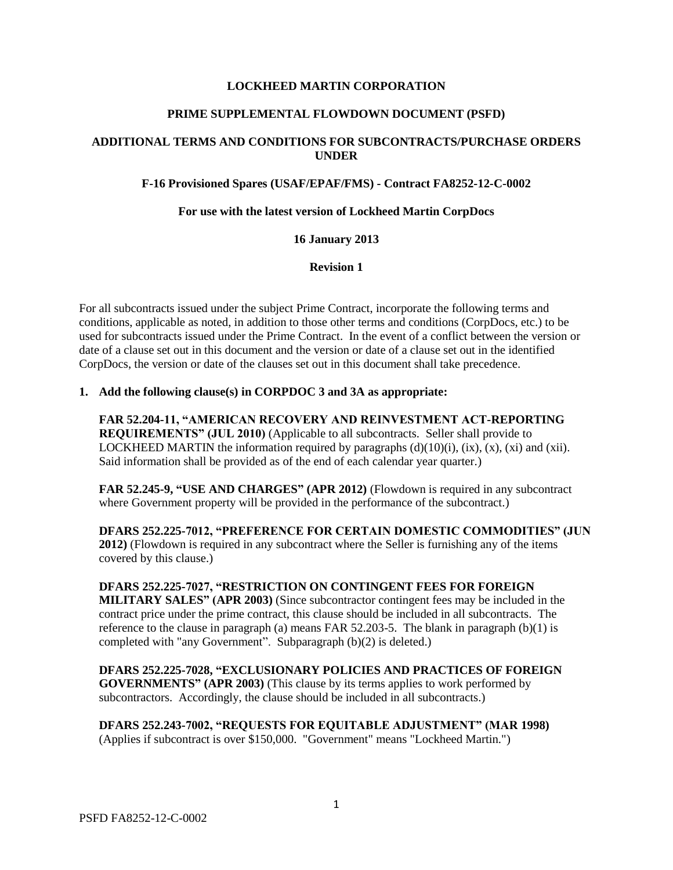## **LOCKHEED MARTIN CORPORATION**

### **PRIME SUPPLEMENTAL FLOWDOWN DOCUMENT (PSFD)**

# **ADDITIONAL TERMS AND CONDITIONS FOR SUBCONTRACTS/PURCHASE ORDERS UNDER**

## **F-16 Provisioned Spares (USAF/EPAF/FMS) - Contract FA8252-12-C-0002**

### **For use with the latest version of Lockheed Martin CorpDocs**

## **16 January 2013**

#### **Revision 1**

For all subcontracts issued under the subject Prime Contract, incorporate the following terms and conditions, applicable as noted, in addition to those other terms and conditions (CorpDocs, etc.) to be used for subcontracts issued under the Prime Contract. In the event of a conflict between the version or date of a clause set out in this document and the version or date of a clause set out in the identified CorpDocs, the version or date of the clauses set out in this document shall take precedence.

# **1. Add the following clause(s) in CORPDOC 3 and 3A as appropriate:**

**FAR 52.204-11, "AMERICAN RECOVERY AND REINVESTMENT ACT-REPORTING REQUIREMENTS" (JUL 2010)** (Applicable to all subcontracts. Seller shall provide to LOCKHEED MARTIN the information required by paragraphs  $(d)(10)(i)$ ,  $(ix)$ ,  $(x)$ ,  $(xi)$  and  $(xii)$ . Said information shall be provided as of the end of each calendar year quarter.)

**FAR 52.245-9, "USE AND CHARGES" (APR 2012)** (Flowdown is required in any subcontract where Government property will be provided in the performance of the subcontract.)

**DFARS 252.225-7012, "PREFERENCE FOR CERTAIN DOMESTIC COMMODITIES" (JUN 2012)** (Flowdown is required in any subcontract where the Seller is furnishing any of the items covered by this clause.)

**DFARS 252.225-7027, "RESTRICTION ON CONTINGENT FEES FOR FOREIGN MILITARY SALES" (APR 2003)** (Since subcontractor contingent fees may be included in the contract price under the prime contract, this clause should be included in all subcontracts. The reference to the clause in paragraph (a) means FAR 52.203-5. The blank in paragraph  $(b)(1)$  is completed with "any Government". Subparagraph (b)(2) is deleted.)

**DFARS 252.225-7028, "EXCLUSIONARY POLICIES AND PRACTICES OF FOREIGN GOVERNMENTS" (APR 2003)** (This clause by its terms applies to work performed by subcontractors. Accordingly, the clause should be included in all subcontracts.)

**DFARS 252.243-7002, "REQUESTS FOR EQUITABLE ADJUSTMENT" (MAR 1998)** (Applies if subcontract is over \$150,000. "Government" means "Lockheed Martin.")